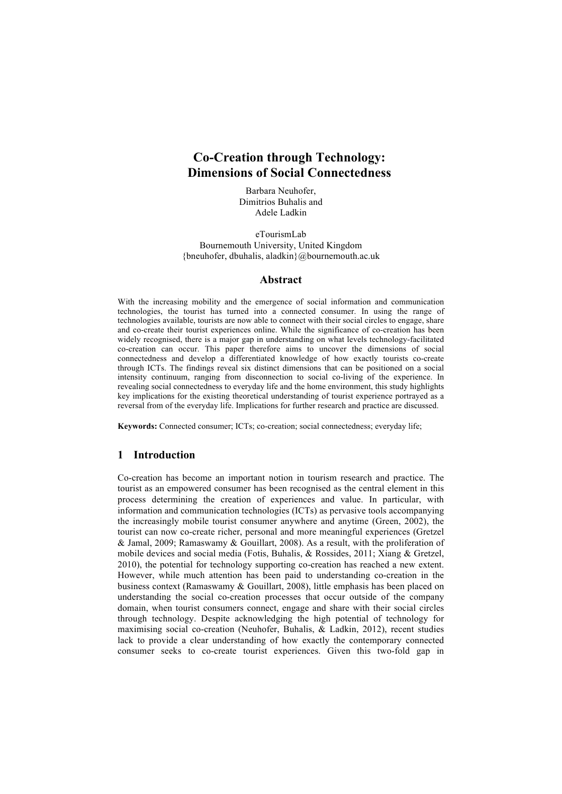# **Co-Creation through Technology: Dimensions of Social Connectedness**

Barbara Neuhofer, Dimitrios Buhalis and Adele Ladkin

eTourismLab Bournemouth University, United Kingdom {bneuhofer, dbuhalis, aladkin}@bournemouth.ac.uk

#### **Abstract**

With the increasing mobility and the emergence of social information and communication technologies, the tourist has turned into a connected consumer. In using the range of technologies available, tourists are now able to connect with their social circles to engage, share and co-create their tourist experiences online. While the significance of co-creation has been widely recognised, there is a major gap in understanding on what levels technology-facilitated co-creation can occur. This paper therefore aims to uncover the dimensions of social connectedness and develop a differentiated knowledge of how exactly tourists co-create through ICTs. The findings reveal six distinct dimensions that can be positioned on a social intensity continuum, ranging from disconnection to social co-living of the experience. In revealing social connectedness to everyday life and the home environment, this study highlights key implications for the existing theoretical understanding of tourist experience portrayed as a reversal from of the everyday life. Implications for further research and practice are discussed.

**Keywords:** Connected consumer; ICTs; co-creation; social connectedness; everyday life;

#### **1 Introduction**

Co-creation has become an important notion in tourism research and practice. The tourist as an empowered consumer has been recognised as the central element in this process determining the creation of experiences and value. In particular, with information and communication technologies (ICTs) as pervasive tools accompanying the increasingly mobile tourist consumer anywhere and anytime (Green, 2002), the tourist can now co-create richer, personal and more meaningful experiences (Gretzel  $&$  Jamal, 2009; Ramaswamy  $&$  Gouillart, 2008). As a result, with the proliferation of mobile devices and social media (Fotis, Buhalis, & Rossides, 2011; Xiang & Gretzel, 2010), the potential for technology supporting co-creation has reached a new extent. However, while much attention has been paid to understanding co-creation in the business context (Ramaswamy & Gouillart, 2008), little emphasis has been placed on understanding the social co-creation processes that occur outside of the company domain, when tourist consumers connect, engage and share with their social circles through technology. Despite acknowledging the high potential of technology for maximising social co-creation (Neuhofer, Buhalis, & Ladkin, 2012), recent studies lack to provide a clear understanding of how exactly the contemporary connected consumer seeks to co-create tourist experiences. Given this two-fold gap in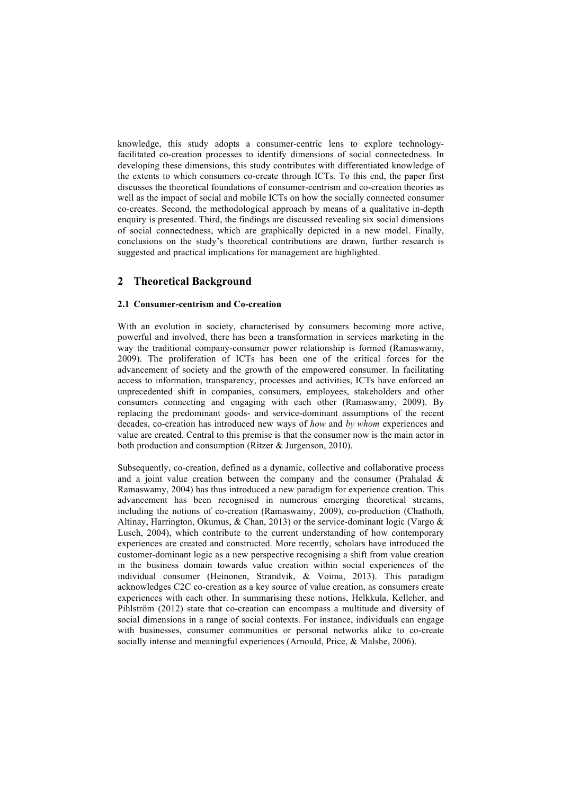knowledge, this study adopts a consumer-centric lens to explore technologyfacilitated co-creation processes to identify dimensions of social connectedness. In developing these dimensions, this study contributes with differentiated knowledge of the extents to which consumers co-create through ICTs. To this end, the paper first discusses the theoretical foundations of consumer-centrism and co-creation theories as well as the impact of social and mobile ICTs on how the socially connected consumer co-creates. Second, the methodological approach by means of a qualitative in-depth enquiry is presented. Third, the findings are discussed revealing six social dimensions of social connectedness, which are graphically depicted in a new model. Finally, conclusions on the study's theoretical contributions are drawn, further research is suggested and practical implications for management are highlighted.

# **2 Theoretical Background**

### **2.1 Consumer-centrism and Co-creation**

With an evolution in society, characterised by consumers becoming more active, powerful and involved, there has been a transformation in services marketing in the way the traditional company-consumer power relationship is formed (Ramaswamy, 2009). The proliferation of ICTs has been one of the critical forces for the advancement of society and the growth of the empowered consumer. In facilitating access to information, transparency, processes and activities, ICTs have enforced an unprecedented shift in companies, consumers, employees, stakeholders and other consumers connecting and engaging with each other (Ramaswamy, 2009). By replacing the predominant goods- and service-dominant assumptions of the recent decades, co-creation has introduced new ways of *how* and *by whom* experiences and value are created. Central to this premise is that the consumer now is the main actor in both production and consumption (Ritzer & Jurgenson, 2010).

Subsequently, co-creation, defined as a dynamic, collective and collaborative process and a joint value creation between the company and the consumer (Prahalad  $\&$ Ramaswamy, 2004) has thus introduced a new paradigm for experience creation. This advancement has been recognised in numerous emerging theoretical streams, including the notions of co-creation (Ramaswamy, 2009), co-production (Chathoth, Altinay, Harrington, Okumus, & Chan, 2013) or the service-dominant logic (Vargo & Lusch, 2004), which contribute to the current understanding of how contemporary experiences are created and constructed. More recently, scholars have introduced the customer-dominant logic as a new perspective recognising a shift from value creation in the business domain towards value creation within social experiences of the individual consumer (Heinonen, Strandvik, & Voima, 2013). This paradigm acknowledges C2C co-creation as a key source of value creation, as consumers create experiences with each other. In summarising these notions, Helkkula, Kelleher, and Pihlström (2012) state that co-creation can encompass a multitude and diversity of social dimensions in a range of social contexts. For instance, individuals can engage with businesses, consumer communities or personal networks alike to co-create socially intense and meaningful experiences (Arnould, Price, & Malshe, 2006).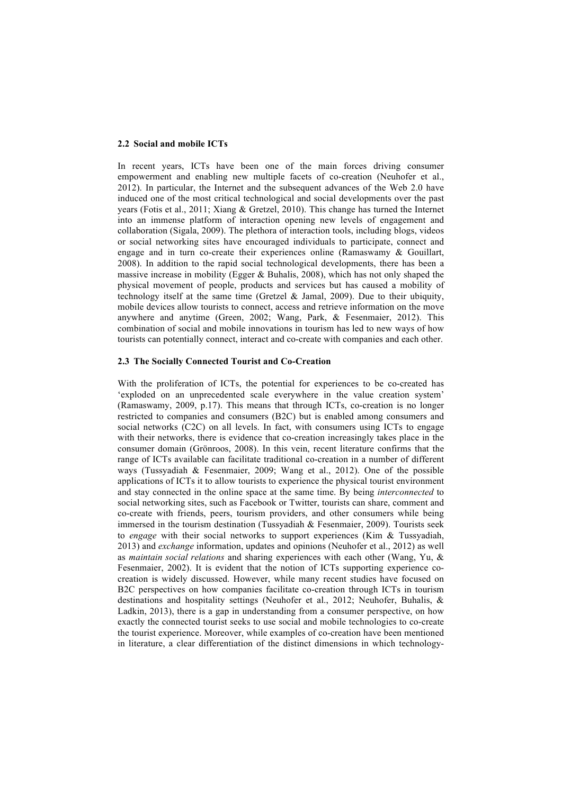#### **2.2 Social and mobile ICTs**

In recent years, ICTs have been one of the main forces driving consumer empowerment and enabling new multiple facets of co-creation (Neuhofer et al., 2012). In particular, the Internet and the subsequent advances of the Web 2.0 have induced one of the most critical technological and social developments over the past years (Fotis et al., 2011; Xiang & Gretzel, 2010). This change has turned the Internet into an immense platform of interaction opening new levels of engagement and collaboration (Sigala, 2009). The plethora of interaction tools, including blogs, videos or social networking sites have encouraged individuals to participate, connect and engage and in turn co-create their experiences online (Ramaswamy & Gouillart, 2008). In addition to the rapid social technological developments, there has been a massive increase in mobility (Egger & Buhalis, 2008), which has not only shaped the physical movement of people, products and services but has caused a mobility of technology itself at the same time (Gretzel  $\&$  Jamal, 2009). Due to their ubiquity, mobile devices allow tourists to connect, access and retrieve information on the move anywhere and anytime (Green, 2002; Wang, Park, & Fesenmaier, 2012). This combination of social and mobile innovations in tourism has led to new ways of how tourists can potentially connect, interact and co-create with companies and each other.

#### **2.3 The Socially Connected Tourist and Co-Creation**

With the proliferation of ICTs, the potential for experiences to be co-created has 'exploded on an unprecedented scale everywhere in the value creation system' (Ramaswamy, 2009, p.17). This means that through ICTs, co-creation is no longer restricted to companies and consumers (B2C) but is enabled among consumers and social networks (C2C) on all levels. In fact, with consumers using ICTs to engage with their networks, there is evidence that co-creation increasingly takes place in the consumer domain (Grönroos, 2008). In this vein, recent literature confirms that the range of ICTs available can facilitate traditional co-creation in a number of different ways (Tussyadiah & Fesenmaier, 2009; Wang et al., 2012). One of the possible applications of ICTs it to allow tourists to experience the physical tourist environment and stay connected in the online space at the same time. By being *interconnected* to social networking sites, such as Facebook or Twitter, tourists can share, comment and co-create with friends, peers, tourism providers, and other consumers while being immersed in the tourism destination (Tussyadiah & Fesenmaier, 2009). Tourists seek to *engage* with their social networks to support experiences (Kim & Tussyadiah, 2013) and *exchange* information, updates and opinions (Neuhofer et al., 2012) as well as *maintain social relations* and sharing experiences with each other (Wang, Yu, & Fesenmaier, 2002). It is evident that the notion of ICTs supporting experience cocreation is widely discussed. However, while many recent studies have focused on B2C perspectives on how companies facilitate co-creation through ICTs in tourism destinations and hospitality settings (Neuhofer et al., 2012; Neuhofer, Buhalis, & Ladkin, 2013), there is a gap in understanding from a consumer perspective, on how exactly the connected tourist seeks to use social and mobile technologies to co-create the tourist experience. Moreover, while examples of co-creation have been mentioned in literature, a clear differentiation of the distinct dimensions in which technology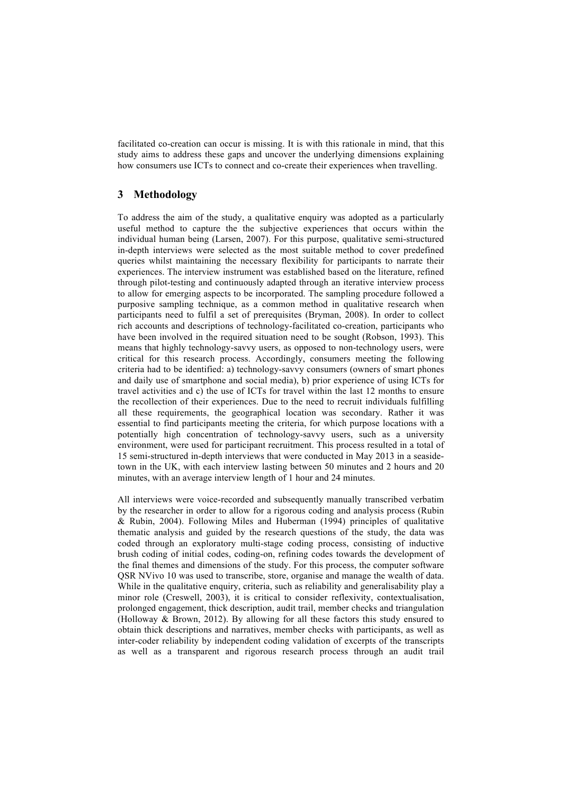facilitated co-creation can occur is missing. It is with this rationale in mind, that this study aims to address these gaps and uncover the underlying dimensions explaining how consumers use ICTs to connect and co-create their experiences when travelling.

# **3 Methodology**

To address the aim of the study, a qualitative enquiry was adopted as a particularly useful method to capture the the subjective experiences that occurs within the individual human being (Larsen, 2007). For this purpose, qualitative semi-structured in-depth interviews were selected as the most suitable method to cover predefined queries whilst maintaining the necessary flexibility for participants to narrate their experiences. The interview instrument was established based on the literature, refined through pilot-testing and continuously adapted through an iterative interview process to allow for emerging aspects to be incorporated. The sampling procedure followed a purposive sampling technique, as a common method in qualitative research when participants need to fulfil a set of prerequisites (Bryman, 2008). In order to collect rich accounts and descriptions of technology-facilitated co-creation, participants who have been involved in the required situation need to be sought (Robson, 1993). This means that highly technology-savvy users, as opposed to non-technology users, were critical for this research process. Accordingly, consumers meeting the following criteria had to be identified: a) technology-savvy consumers (owners of smart phones and daily use of smartphone and social media), b) prior experience of using ICTs for travel activities and c) the use of ICTs for travel within the last 12 months to ensure the recollection of their experiences. Due to the need to recruit individuals fulfilling all these requirements, the geographical location was secondary. Rather it was essential to find participants meeting the criteria, for which purpose locations with a potentially high concentration of technology-savvy users, such as a university environment, were used for participant recruitment. This process resulted in a total of 15 semi-structured in-depth interviews that were conducted in May 2013 in a seasidetown in the UK, with each interview lasting between 50 minutes and 2 hours and 20 minutes, with an average interview length of 1 hour and 24 minutes.

All interviews were voice-recorded and subsequently manually transcribed verbatim by the researcher in order to allow for a rigorous coding and analysis process (Rubin & Rubin, 2004). Following Miles and Huberman (1994) principles of qualitative thematic analysis and guided by the research questions of the study, the data was coded through an exploratory multi-stage coding process, consisting of inductive brush coding of initial codes, coding-on, refining codes towards the development of the final themes and dimensions of the study. For this process, the computer software QSR NVivo 10 was used to transcribe, store, organise and manage the wealth of data. While in the qualitative enquiry, criteria, such as reliability and generalisability play a minor role (Creswell, 2003), it is critical to consider reflexivity, contextualisation, prolonged engagement, thick description, audit trail, member checks and triangulation (Holloway & Brown, 2012). By allowing for all these factors this study ensured to obtain thick descriptions and narratives, member checks with participants, as well as inter-coder reliability by independent coding validation of excerpts of the transcripts as well as a transparent and rigorous research process through an audit trail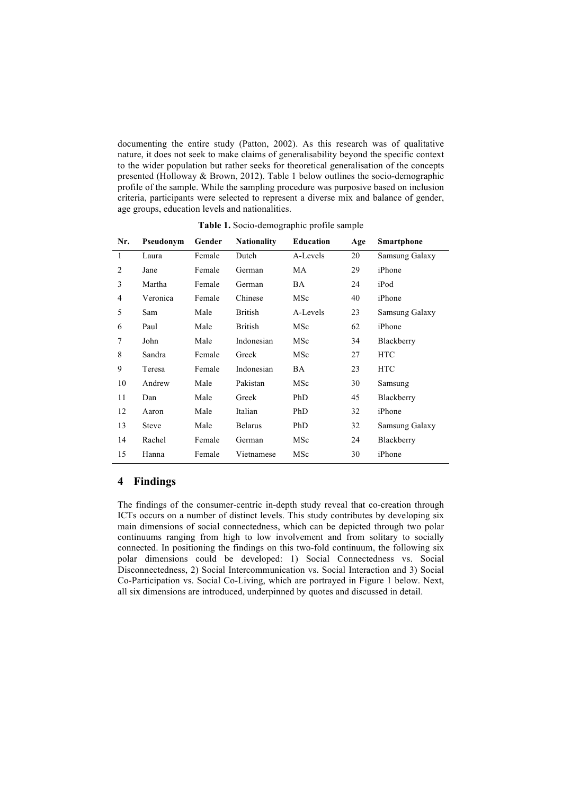documenting the entire study (Patton, 2002). As this research was of qualitative nature, it does not seek to make claims of generalisability beyond the specific context to the wider population but rather seeks for theoretical generalisation of the concepts presented (Holloway & Brown, 2012). Table 1 below outlines the socio-demographic profile of the sample. While the sampling procedure was purposive based on inclusion criteria, participants were selected to represent a diverse mix and balance of gender, age groups, education levels and nationalities.

| Nr.            | Pseudonym    | Gender | <b>Nationality</b> | <b>Education</b> | Age | Smartphone     |
|----------------|--------------|--------|--------------------|------------------|-----|----------------|
| -1             | Laura        | Female | Dutch              | A-Levels         | 20  | Samsung Galaxy |
| 2              | Jane         | Female | German             | MA               | 29  | iPhone         |
| 3              | Martha       | Female | German             | BA               | 24  | iPod           |
| $\overline{4}$ | Veronica     | Female | Chinese            | MSc              | 40  | iPhone         |
| 5              | Sam          | Male   | <b>British</b>     | A-Levels         | 23  | Samsung Galaxy |
| 6              | Paul         | Male   | <b>British</b>     | MSc              | 62  | iPhone         |
| 7              | John         | Male   | Indonesian         | MSc              | 34  | Blackberry     |
| 8              | Sandra       | Female | Greek              | MSc              | 27  | <b>HTC</b>     |
| 9              | Teresa       | Female | Indonesian         | BA               | 23  | <b>HTC</b>     |
| 10             | Andrew       | Male   | Pakistan           | MSc              | 30  | Samsung        |
| 11             | Dan          | Male   | Greek              | PhD              | 45  | Blackberry     |
| 12             | Aaron        | Male   | Italian            | PhD              | 32  | iPhone         |
| 13             | <b>Steve</b> | Male   | <b>Belarus</b>     | PhD              | 32  | Samsung Galaxy |
| 14             | Rachel       | Female | German             | MSc              | 24  | Blackberry     |
| 15             | Hanna        | Female | Vietnamese         | MSc              | 30  | iPhone         |

**Table 1.** Socio-demographic profile sample

### **4 Findings**

The findings of the consumer-centric in-depth study reveal that co-creation through ICTs occurs on a number of distinct levels. This study contributes by developing six main dimensions of social connectedness, which can be depicted through two polar continuums ranging from high to low involvement and from solitary to socially connected. In positioning the findings on this two-fold continuum, the following six polar dimensions could be developed: 1) Social Connectedness vs. Social Disconnectedness, 2) Social Intercommunication vs. Social Interaction and 3) Social Co-Participation vs. Social Co-Living, which are portrayed in Figure 1 below. Next, all six dimensions are introduced, underpinned by quotes and discussed in detail.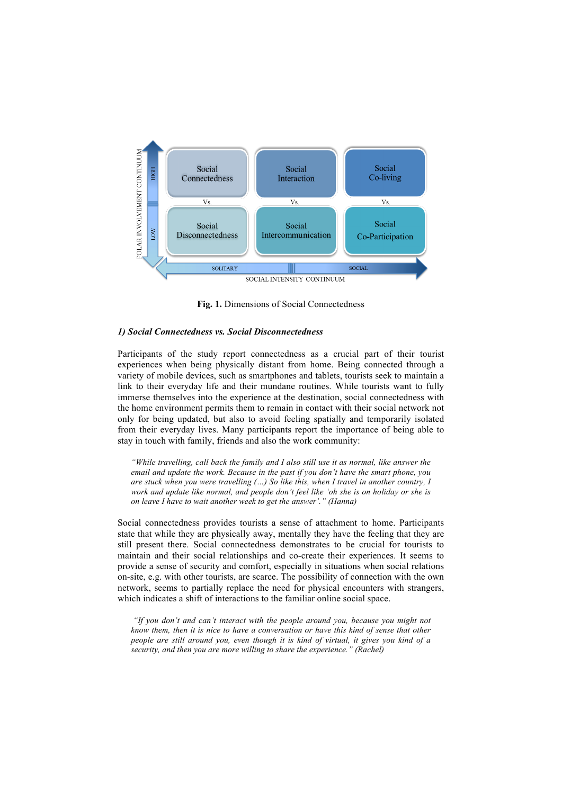

**Fig. 1.** Dimensions of Social Connectedness

#### *1) Social Connectedness vs. Social Disconnectedness*

Participants of the study report connectedness as a crucial part of their tourist experiences when being physically distant from home. Being connected through a variety of mobile devices, such as smartphones and tablets, tourists seek to maintain a link to their everyday life and their mundane routines. While tourists want to fully immerse themselves into the experience at the destination, social connectedness with the home environment permits them to remain in contact with their social network not only for being updated, but also to avoid feeling spatially and temporarily isolated from their everyday lives. Many participants report the importance of being able to stay in touch with family, friends and also the work community:

*"While travelling, call back the family and I also still use it as normal, like answer the email and update the work. Because in the past if you don't have the smart phone, you are stuck when you were travelling (…) So like this, when I travel in another country, I work and update like normal, and people don't feel like 'oh she is on holiday or she is on leave I have to wait another week to get the answer'." (Hanna)*

Social connectedness provides tourists a sense of attachment to home. Participants state that while they are physically away, mentally they have the feeling that they are still present there. Social connectedness demonstrates to be crucial for tourists to maintain and their social relationships and co-create their experiences. It seems to provide a sense of security and comfort, especially in situations when social relations on-site, e.g. with other tourists, are scarce. The possibility of connection with the own network, seems to partially replace the need for physical encounters with strangers, which indicates a shift of interactions to the familiar online social space.

*"If you don't and can't interact with the people around you, because you might not know them, then it is nice to have a conversation or have this kind of sense that other people are still around you, even though it is kind of virtual, it gives you kind of a security, and then you are more willing to share the experience." (Rachel)*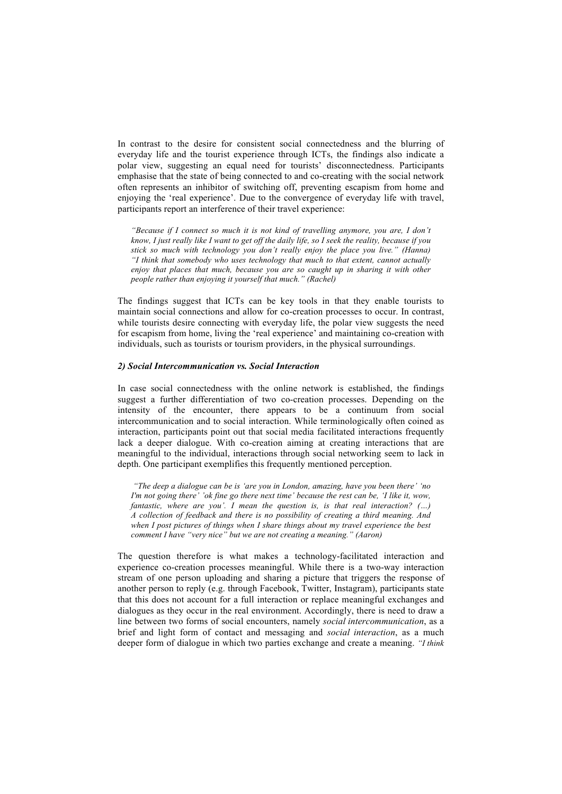In contrast to the desire for consistent social connectedness and the blurring of everyday life and the tourist experience through ICTs, the findings also indicate a polar view, suggesting an equal need for tourists' disconnectedness. Participants emphasise that the state of being connected to and co-creating with the social network often represents an inhibitor of switching off, preventing escapism from home and enjoying the 'real experience'. Due to the convergence of everyday life with travel, participants report an interference of their travel experience:

*"Because if I connect so much it is not kind of travelling anymore, you are, I don't know, I just really like I want to get off the daily life, so I seek the reality, because if you stick so much with technology you don't really enjoy the place you live." (Hanna) "I think that somebody who uses technology that much to that extent, cannot actually enjoy that places that much, because you are so caught up in sharing it with other people rather than enjoying it yourself that much." (Rachel)*

The findings suggest that ICTs can be key tools in that they enable tourists to maintain social connections and allow for co-creation processes to occur. In contrast, while tourists desire connecting with everyday life, the polar view suggests the need for escapism from home, living the 'real experience' and maintaining co-creation with individuals, such as tourists or tourism providers, in the physical surroundings.

### *2) Social Intercommunication vs. Social Interaction*

In case social connectedness with the online network is established, the findings suggest a further differentiation of two co-creation processes. Depending on the intensity of the encounter, there appears to be a continuum from social intercommunication and to social interaction. While terminologically often coined as interaction, participants point out that social media facilitated interactions frequently lack a deeper dialogue. With co-creation aiming at creating interactions that are meaningful to the individual, interactions through social networking seem to lack in depth. One participant exemplifies this frequently mentioned perception.

*"The deep a dialogue can be is 'are you in London, amazing, have you been there' 'no I'm not going there' 'ok fine go there next time' because the rest can be, 'I like it, wow, fantastic, where are you'. I mean the question is, is that real interaction? (…) A collection of feedback and there is no possibility of creating a third meaning. And when I post pictures of things when I share things about my travel experience the best comment I have "very nice" but we are not creating a meaning." (Aaron)*

The question therefore is what makes a technology-facilitated interaction and experience co-creation processes meaningful. While there is a two-way interaction stream of one person uploading and sharing a picture that triggers the response of another person to reply (e.g. through Facebook, Twitter, Instagram), participants state that this does not account for a full interaction or replace meaningful exchanges and dialogues as they occur in the real environment. Accordingly, there is need to draw a line between two forms of social encounters, namely *social intercommunication*, as a brief and light form of contact and messaging and *social interaction*, as a much deeper form of dialogue in which two parties exchange and create a meaning. *"I think*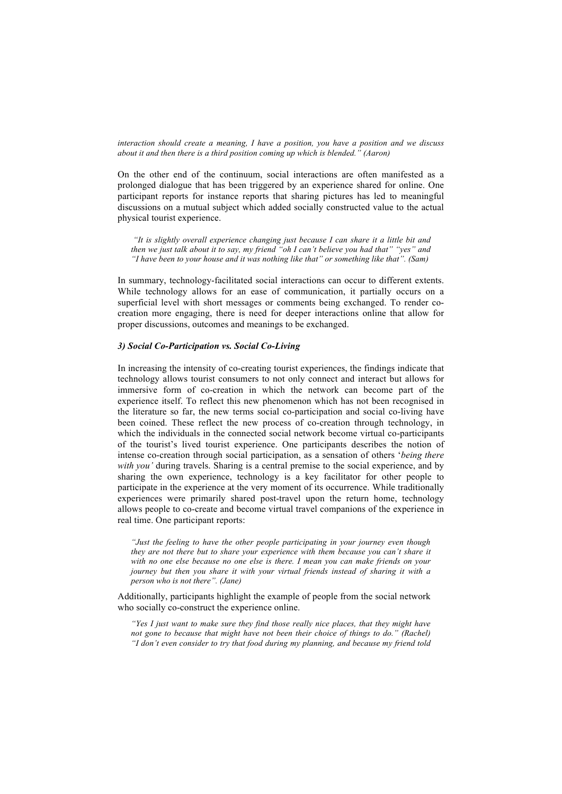*interaction should create a meaning, I have a position, you have a position and we discuss about it and then there is a third position coming up which is blended." (Aaron)*

On the other end of the continuum, social interactions are often manifested as a prolonged dialogue that has been triggered by an experience shared for online. One participant reports for instance reports that sharing pictures has led to meaningful discussions on a mutual subject which added socially constructed value to the actual physical tourist experience.

*"It is slightly overall experience changing just because I can share it a little bit and then we just talk about it to say, my friend "oh I can't believe you had that" "yes" and "I have been to your house and it was nothing like that" or something like that". (Sam)*

In summary, technology-facilitated social interactions can occur to different extents. While technology allows for an ease of communication, it partially occurs on a superficial level with short messages or comments being exchanged. To render cocreation more engaging, there is need for deeper interactions online that allow for proper discussions, outcomes and meanings to be exchanged.

### *3) Social Co-Participation vs. Social Co-Living*

In increasing the intensity of co-creating tourist experiences, the findings indicate that technology allows tourist consumers to not only connect and interact but allows for immersive form of co-creation in which the network can become part of the experience itself. To reflect this new phenomenon which has not been recognised in the literature so far, the new terms social co-participation and social co-living have been coined. These reflect the new process of co-creation through technology, in which the individuals in the connected social network become virtual co-participants of the tourist's lived tourist experience. One participants describes the notion of intense co-creation through social participation, as a sensation of others '*being there with you'* during travels. Sharing is a central premise to the social experience, and by sharing the own experience, technology is a key facilitator for other people to participate in the experience at the very moment of its occurrence. While traditionally experiences were primarily shared post-travel upon the return home, technology allows people to co-create and become virtual travel companions of the experience in real time. One participant reports:

*"Just the feeling to have the other people participating in your journey even though they are not there but to share your experience with them because you can't share it with no one else because no one else is there. I mean you can make friends on your journey but then you share it with your virtual friends instead of sharing it with a person who is not there". (Jane)*

Additionally, participants highlight the example of people from the social network who socially co-construct the experience online.

*"Yes I just want to make sure they find those really nice places, that they might have not gone to because that might have not been their choice of things to do." (Rachel) "I don't even consider to try that food during my planning, and because my friend told*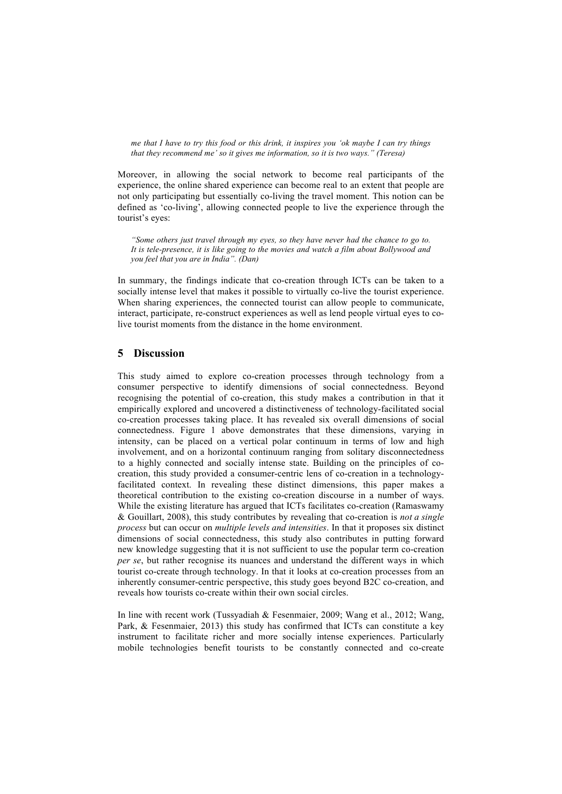*me that I have to try this food or this drink, it inspires you 'ok maybe I can try things that they recommend me' so it gives me information, so it is two ways." (Teresa)*

Moreover, in allowing the social network to become real participants of the experience, the online shared experience can become real to an extent that people are not only participating but essentially co-living the travel moment. This notion can be defined as 'co-living', allowing connected people to live the experience through the tourist's eyes:

*"Some others just travel through my eyes, so they have never had the chance to go to. It is tele-presence, it is like going to the movies and watch a film about Bollywood and you feel that you are in India". (Dan)*

In summary, the findings indicate that co-creation through ICTs can be taken to a socially intense level that makes it possible to virtually co-live the tourist experience. When sharing experiences, the connected tourist can allow people to communicate, interact, participate, re-construct experiences as well as lend people virtual eyes to colive tourist moments from the distance in the home environment.

## **5 Discussion**

This study aimed to explore co-creation processes through technology from a consumer perspective to identify dimensions of social connectedness. Beyond recognising the potential of co-creation, this study makes a contribution in that it empirically explored and uncovered a distinctiveness of technology-facilitated social co-creation processes taking place. It has revealed six overall dimensions of social connectedness. Figure 1 above demonstrates that these dimensions, varying in intensity, can be placed on a vertical polar continuum in terms of low and high involvement, and on a horizontal continuum ranging from solitary disconnectedness to a highly connected and socially intense state. Building on the principles of cocreation, this study provided a consumer-centric lens of co-creation in a technologyfacilitated context. In revealing these distinct dimensions, this paper makes a theoretical contribution to the existing co-creation discourse in a number of ways. While the existing literature has argued that ICTs facilitates co-creation (Ramaswamy & Gouillart, 2008), this study contributes by revealing that co-creation is *not a single process* but can occur on *multiple levels and intensities*. In that it proposes six distinct dimensions of social connectedness, this study also contributes in putting forward new knowledge suggesting that it is not sufficient to use the popular term co-creation *per se*, but rather recognise its nuances and understand the different ways in which tourist co-create through technology. In that it looks at co-creation processes from an inherently consumer-centric perspective, this study goes beyond B2C co-creation, and reveals how tourists co-create within their own social circles.

In line with recent work (Tussyadiah & Fesenmaier, 2009; Wang et al., 2012; Wang, Park, & Fesenmaier, 2013) this study has confirmed that ICTs can constitute a key instrument to facilitate richer and more socially intense experiences. Particularly mobile technologies benefit tourists to be constantly connected and co-create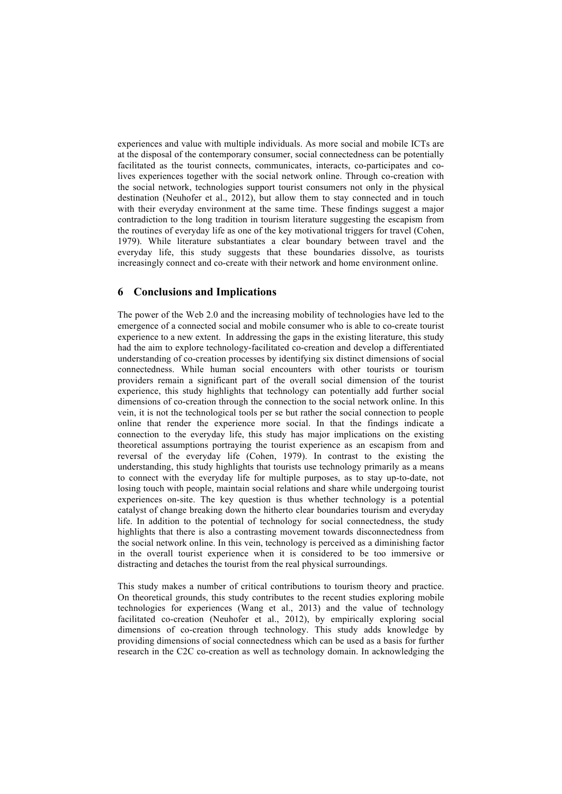experiences and value with multiple individuals. As more social and mobile ICTs are at the disposal of the contemporary consumer, social connectedness can be potentially facilitated as the tourist connects, communicates, interacts, co-participates and colives experiences together with the social network online. Through co-creation with the social network, technologies support tourist consumers not only in the physical destination (Neuhofer et al., 2012), but allow them to stay connected and in touch with their everyday environment at the same time. These findings suggest a major contradiction to the long tradition in tourism literature suggesting the escapism from the routines of everyday life as one of the key motivational triggers for travel (Cohen, 1979). While literature substantiates a clear boundary between travel and the everyday life, this study suggests that these boundaries dissolve, as tourists increasingly connect and co-create with their network and home environment online.

# **6 Conclusions and Implications**

The power of the Web 2.0 and the increasing mobility of technologies have led to the emergence of a connected social and mobile consumer who is able to co-create tourist experience to a new extent. In addressing the gaps in the existing literature, this study had the aim to explore technology-facilitated co-creation and develop a differentiated understanding of co-creation processes by identifying six distinct dimensions of social connectedness. While human social encounters with other tourists or tourism providers remain a significant part of the overall social dimension of the tourist experience, this study highlights that technology can potentially add further social dimensions of co-creation through the connection to the social network online. In this vein, it is not the technological tools per se but rather the social connection to people online that render the experience more social. In that the findings indicate a connection to the everyday life, this study has major implications on the existing theoretical assumptions portraying the tourist experience as an escapism from and reversal of the everyday life (Cohen, 1979). In contrast to the existing the understanding, this study highlights that tourists use technology primarily as a means to connect with the everyday life for multiple purposes, as to stay up-to-date, not losing touch with people, maintain social relations and share while undergoing tourist experiences on-site. The key question is thus whether technology is a potential catalyst of change breaking down the hitherto clear boundaries tourism and everyday life. In addition to the potential of technology for social connectedness, the study highlights that there is also a contrasting movement towards disconnectedness from the social network online. In this vein, technology is perceived as a diminishing factor in the overall tourist experience when it is considered to be too immersive or distracting and detaches the tourist from the real physical surroundings.

This study makes a number of critical contributions to tourism theory and practice. On theoretical grounds, this study contributes to the recent studies exploring mobile technologies for experiences (Wang et al., 2013) and the value of technology facilitated co-creation (Neuhofer et al., 2012), by empirically exploring social dimensions of co-creation through technology. This study adds knowledge by providing dimensions of social connectedness which can be used as a basis for further research in the C2C co-creation as well as technology domain. In acknowledging the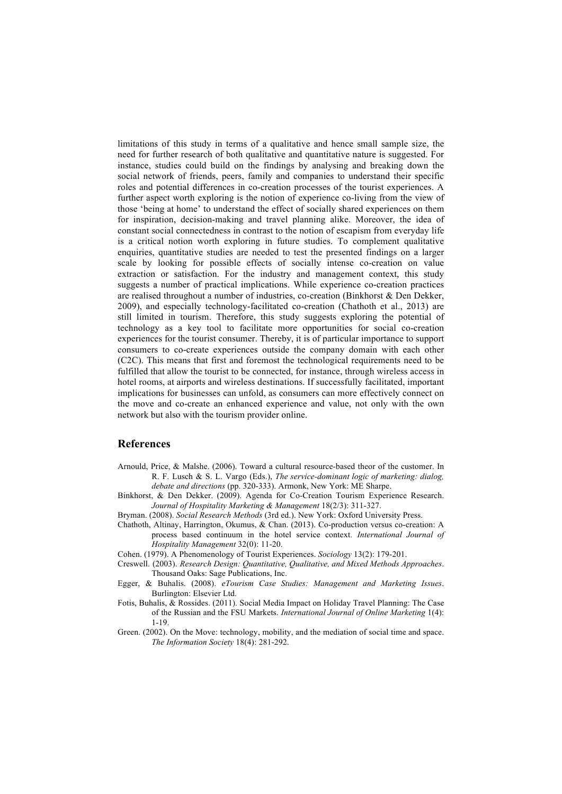limitations of this study in terms of a qualitative and hence small sample size, the need for further research of both qualitative and quantitative nature is suggested. For instance, studies could build on the findings by analysing and breaking down the social network of friends, peers, family and companies to understand their specific roles and potential differences in co-creation processes of the tourist experiences. A further aspect worth exploring is the notion of experience co-living from the view of those 'being at home' to understand the effect of socially shared experiences on them for inspiration, decision-making and travel planning alike. Moreover, the idea of constant social connectedness in contrast to the notion of escapism from everyday life is a critical notion worth exploring in future studies. To complement qualitative enquiries, quantitative studies are needed to test the presented findings on a larger scale by looking for possible effects of socially intense co-creation on value extraction or satisfaction. For the industry and management context, this study suggests a number of practical implications. While experience co-creation practices are realised throughout a number of industries, co-creation (Binkhorst & Den Dekker, 2009), and especially technology-facilitated co-creation (Chathoth et al., 2013) are still limited in tourism. Therefore, this study suggests exploring the potential of technology as a key tool to facilitate more opportunities for social co-creation experiences for the tourist consumer. Thereby, it is of particular importance to support consumers to co-create experiences outside the company domain with each other (C2C). This means that first and foremost the technological requirements need to be fulfilled that allow the tourist to be connected, for instance, through wireless access in hotel rooms, at airports and wireless destinations. If successfully facilitated, important implications for businesses can unfold, as consumers can more effectively connect on the move and co-create an enhanced experience and value, not only with the own network but also with the tourism provider online.

### **References**

- Arnould, Price, & Malshe. (2006). Toward a cultural resource-based theor of the customer. In R. F. Lusch & S. L. Vargo (Eds.), *The service-dominant logic of marketing: dialog, debate and directions* (pp. 320-333). Armonk, New York: ME Sharpe.
- Binkhorst, & Den Dekker. (2009). Agenda for Co-Creation Tourism Experience Research. *Journal of Hospitality Marketing & Management* 18(2/3): 311-327.
- Bryman. (2008). *Social Research Methods* (3rd ed.). New York: Oxford University Press.
- Chathoth, Altinay, Harrington, Okumus, & Chan. (2013). Co-production versus co-creation: A process based continuum in the hotel service context. *International Journal of Hospitality Management* 32(0): 11-20.
- Cohen. (1979). A Phenomenology of Tourist Experiences. *Sociology* 13(2): 179-201.
- Creswell. (2003). *Research Design: Quantitative, Qualitative, and Mixed Methods Approaches*. Thousand Oaks: Sage Publications, Inc.
- Egger, & Buhalis. (2008). *eTourism Case Studies: Management and Marketing Issues*. Burlington: Elsevier Ltd.
- Fotis, Buhalis, & Rossides. (2011). Social Media Impact on Holiday Travel Planning: The Case of the Russian and the FSU Markets. *International Journal of Online Marketing* 1(4): 1-19.
- Green. (2002). On the Move: technology, mobility, and the mediation of social time and space. *The Information Society* 18(4): 281-292.